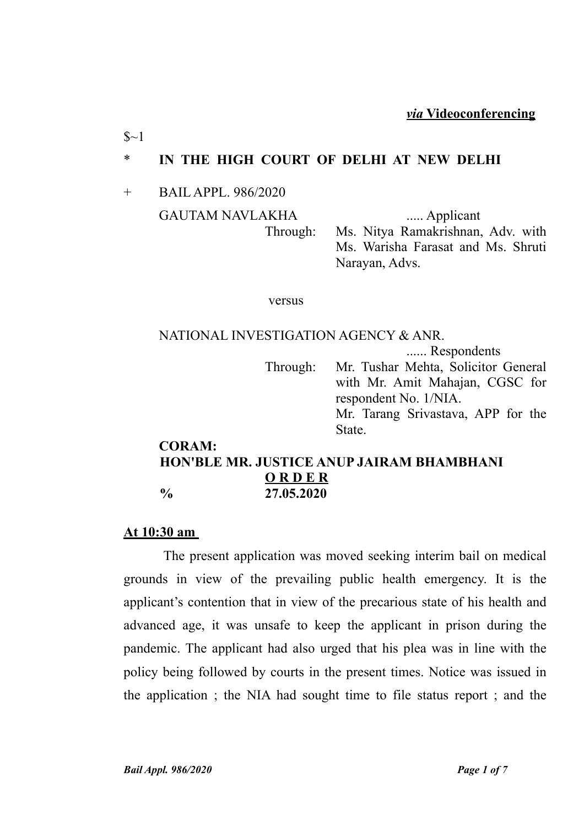$S~1$ 

# \* **IN THE HIGH COURT OF DELHI AT NEW DELHI**

### + BAIL APPL. 986/2020

GAUTAM NAVLAKHA ..... Applicant

Through: Ms. Nitya Ramakrishnan, Adv. with Ms. Warisha Farasat and Ms. Shruti Narayan, Advs.

versus

# NATIONAL INVESTIGATION AGENCY & ANR.

...... Respondents

Through: Mr. Tushar Mehta, Solicitor General with Mr. Amit Mahajan, CGSC for respondent No. 1/NIA. Mr. Tarang Srivastava, APP for the State.

#### **CORAM: HON'BLE MR. JUSTICE ANUP JAIRAM BHAMBHANI**

# **O R D E R**

**% 27.05.2020**

## **At 10:30 am**

 The present application was moved seeking interim bail on medical grounds in view of the prevailing public health emergency. It is the applicant's contention that in view of the precarious state of his health and advanced age, it was unsafe to keep the applicant in prison during the pandemic. The applicant had also urged that his plea was in line with the policy being followed by courts in the present times. Notice was issued in the application ; the NIA had sought time to file status report ; and the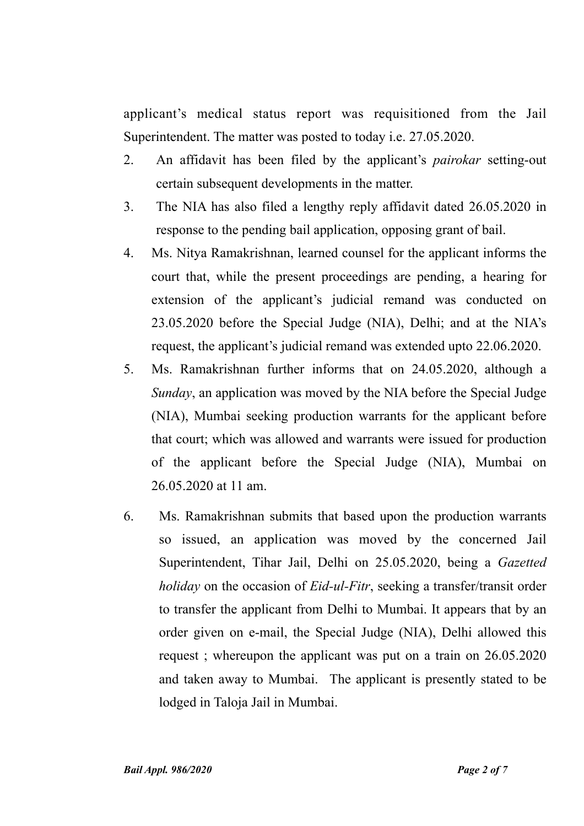applicant's medical status report was requisitioned from the Jail Superintendent. The matter was posted to today i.e. 27.05.2020.

- 2. An affidavit has been filed by the applicant's *pairokar* setting-out certain subsequent developments in the matter.
- 3. The NIA has also filed a lengthy reply affidavit dated 26.05.2020 in response to the pending bail application, opposing grant of bail.
- 4. Ms. Nitya Ramakrishnan, learned counsel for the applicant informs the court that, while the present proceedings are pending, a hearing for extension of the applicant's judicial remand was conducted on 23.05.2020 before the Special Judge (NIA), Delhi; and at the NIA's request, the applicant's judicial remand was extended upto 22.06.2020.
- 5. Ms. Ramakrishnan further informs that on 24.05.2020, although a *Sunday*, an application was moved by the NIA before the Special Judge (NIA), Mumbai seeking production warrants for the applicant before that court; which was allowed and warrants were issued for production of the applicant before the Special Judge (NIA), Mumbai on 26.05.2020 at 11 am.
- 6. Ms. Ramakrishnan submits that based upon the production warrants so issued, an application was moved by the concerned Jail Superintendent, Tihar Jail, Delhi on 25.05.2020, being a *Gazetted holiday* on the occasion of *Eid-ul-Fitr*, seeking a transfer/transit order to transfer the applicant from Delhi to Mumbai. It appears that by an order given on e-mail, the Special Judge (NIA), Delhi allowed this request ; whereupon the applicant was put on a train on 26.05.2020 and taken away to Mumbai. The applicant is presently stated to be lodged in Taloja Jail in Mumbai.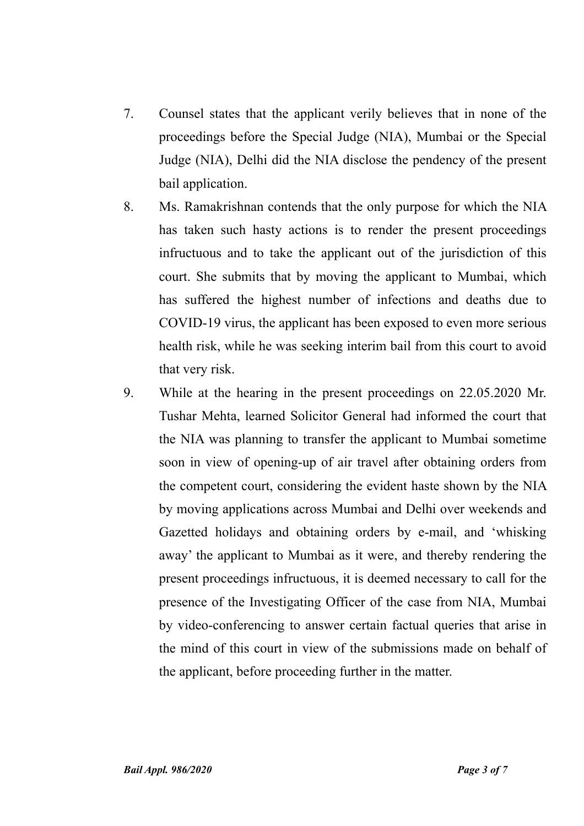- 7. Counsel states that the applicant verily believes that in none of the proceedings before the Special Judge (NIA), Mumbai or the Special Judge (NIA), Delhi did the NIA disclose the pendency of the present bail application.
- 8. Ms. Ramakrishnan contends that the only purpose for which the NIA has taken such hasty actions is to render the present proceedings infructuous and to take the applicant out of the jurisdiction of this court. She submits that by moving the applicant to Mumbai, which has suffered the highest number of infections and deaths due to COVID-19 virus, the applicant has been exposed to even more serious health risk, while he was seeking interim bail from this court to avoid that very risk.
- 9. While at the hearing in the present proceedings on 22.05.2020 Mr. Tushar Mehta, learned Solicitor General had informed the court that the NIA was planning to transfer the applicant to Mumbai sometime soon in view of opening-up of air travel after obtaining orders from the competent court, considering the evident haste shown by the NIA by moving applications across Mumbai and Delhi over weekends and Gazetted holidays and obtaining orders by e-mail, and 'whisking away' the applicant to Mumbai as it were, and thereby rendering the present proceedings infructuous, it is deemed necessary to call for the presence of the Investigating Officer of the case from NIA, Mumbai by video-conferencing to answer certain factual queries that arise in the mind of this court in view of the submissions made on behalf of the applicant, before proceeding further in the matter.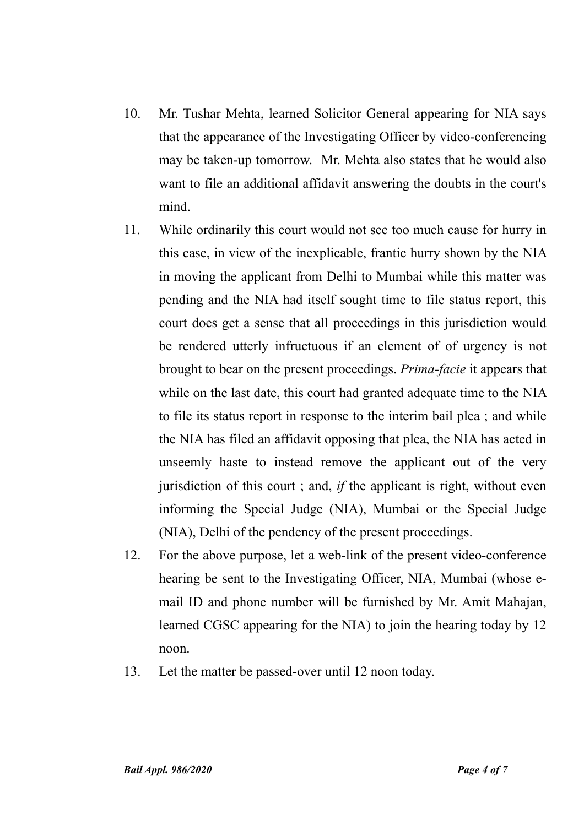- 10. Mr. Tushar Mehta, learned Solicitor General appearing for NIA says that the appearance of the Investigating Officer by video-conferencing may be taken-up tomorrow. Mr. Mehta also states that he would also want to file an additional affidavit answering the doubts in the court's mind.
- 11. While ordinarily this court would not see too much cause for hurry in this case, in view of the inexplicable, frantic hurry shown by the NIA in moving the applicant from Delhi to Mumbai while this matter was pending and the NIA had itself sought time to file status report, this court does get a sense that all proceedings in this jurisdiction would be rendered utterly infructuous if an element of of urgency is not brought to bear on the present proceedings. *Prima-facie* it appears that while on the last date, this court had granted adequate time to the NIA to file its status report in response to the interim bail plea ; and while the NIA has filed an affidavit opposing that plea, the NIA has acted in unseemly haste to instead remove the applicant out of the very jurisdiction of this court ; and, *if* the applicant is right, without even informing the Special Judge (NIA), Mumbai or the Special Judge (NIA), Delhi of the pendency of the present proceedings.
- 12. For the above purpose, let a web-link of the present video-conference hearing be sent to the Investigating Officer, NIA, Mumbai (whose email ID and phone number will be furnished by Mr. Amit Mahajan, learned CGSC appearing for the NIA) to join the hearing today by 12 noon.
- 13. Let the matter be passed-over until 12 noon today.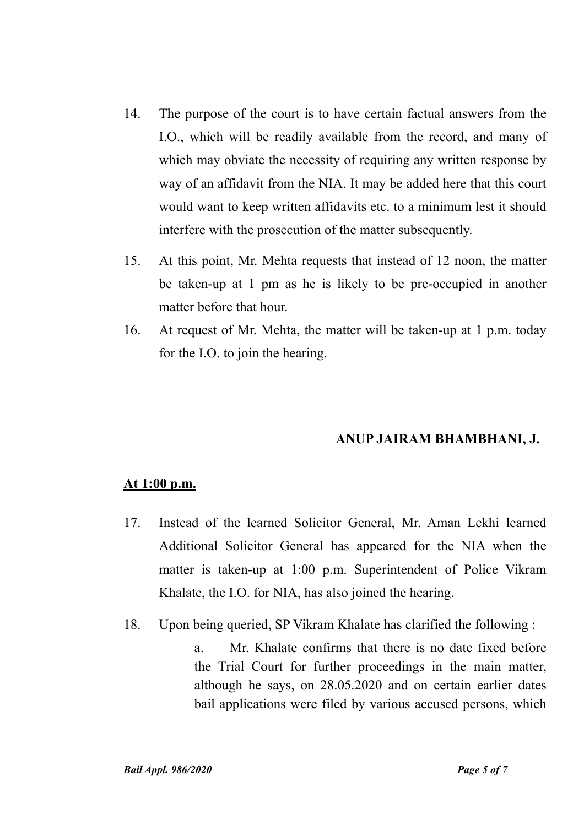- 14. The purpose of the court is to have certain factual answers from the I.O., which will be readily available from the record, and many of which may obviate the necessity of requiring any written response by way of an affidavit from the NIA. It may be added here that this court would want to keep written affidavits etc. to a minimum lest it should interfere with the prosecution of the matter subsequently.
- 15. At this point, Mr. Mehta requests that instead of 12 noon, the matter be taken-up at 1 pm as he is likely to be pre-occupied in another matter before that hour.
- 16. At request of Mr. Mehta, the matter will be taken-up at 1 p.m. today for the I.O. to join the hearing.

## **ANUP JAIRAM BHAMBHANI, J.**

### **At 1:00 p.m.**

- 17. Instead of the learned Solicitor General, Mr. Aman Lekhi learned Additional Solicitor General has appeared for the NIA when the matter is taken-up at 1:00 p.m. Superintendent of Police Vikram Khalate, the I.O. for NIA, has also joined the hearing.
- 18. Upon being queried, SP Vikram Khalate has clarified the following :

a. Mr. Khalate confirms that there is no date fixed before the Trial Court for further proceedings in the main matter, although he says, on 28.05.2020 and on certain earlier dates bail applications were filed by various accused persons, which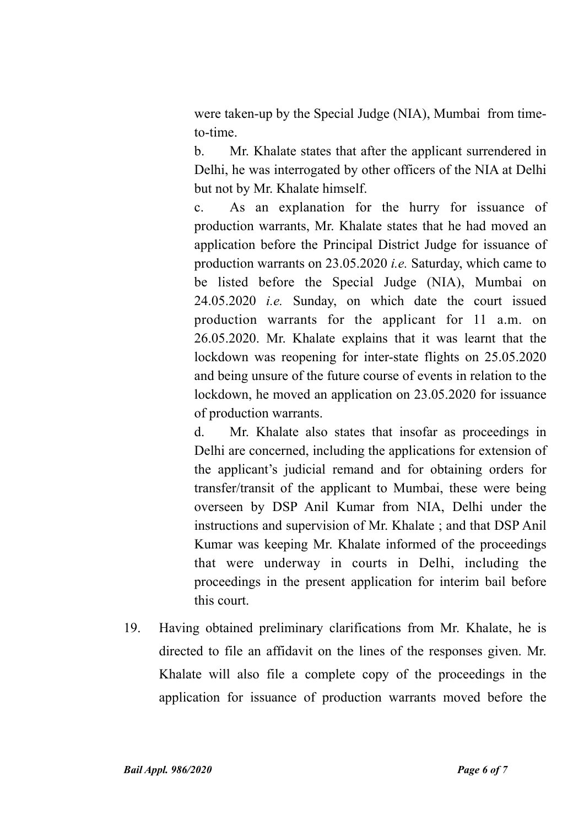were taken-up by the Special Judge (NIA), Mumbai from timeto-time.

b. Mr. Khalate states that after the applicant surrendered in Delhi, he was interrogated by other officers of the NIA at Delhi but not by Mr. Khalate himself.

c. As an explanation for the hurry for issuance of production warrants, Mr. Khalate states that he had moved an application before the Principal District Judge for issuance of production warrants on 23.05.2020 *i.e.* Saturday, which came to be listed before the Special Judge (NIA), Mumbai on 24.05.2020 *i.e.* Sunday, on which date the court issued production warrants for the applicant for 11 a.m. on 26.05.2020. Mr. Khalate explains that it was learnt that the lockdown was reopening for inter-state flights on 25.05.2020 and being unsure of the future course of events in relation to the lockdown, he moved an application on 23.05.2020 for issuance of production warrants.

d. Mr. Khalate also states that insofar as proceedings in Delhi are concerned, including the applications for extension of the applicant's judicial remand and for obtaining orders for transfer/transit of the applicant to Mumbai, these were being overseen by DSP Anil Kumar from NIA, Delhi under the instructions and supervision of Mr. Khalate ; and that DSP Anil Kumar was keeping Mr. Khalate informed of the proceedings that were underway in courts in Delhi, including the proceedings in the present application for interim bail before this court.

19. Having obtained preliminary clarifications from Mr. Khalate, he is directed to file an affidavit on the lines of the responses given. Mr. Khalate will also file a complete copy of the proceedings in the application for issuance of production warrants moved before the